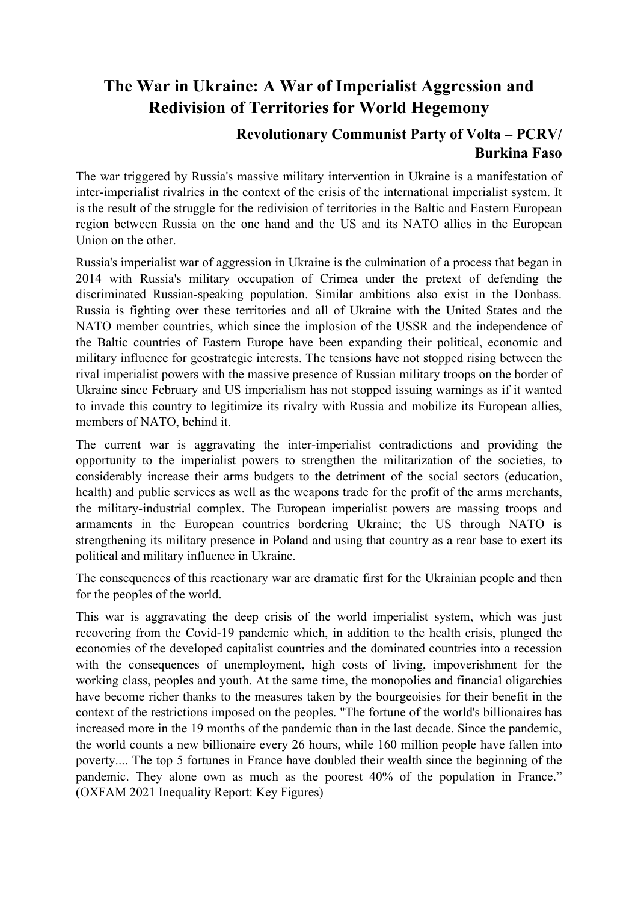## **The War in Ukraine: A War of Imperialist Aggression and Redivision of Territories for World Hegemony**

## **Revolutionary Communist Party of Volta – PCRV/ Burkina Faso**

The war triggered by Russia's massive military intervention in Ukraine is a manifestation of inter-imperialist rivalries in the context of the crisis of the international imperialist system. It is the result of the struggle for the redivision of territories in the Baltic and Eastern European region between Russia on the one hand and the US and its NATO allies in the European Union on the other.

Russia's imperialist war of aggression in Ukraine is the culmination of a process that began in 2014 with Russia's military occupation of Crimea under the pretext of defending the discriminated Russian-speaking population. Similar ambitions also exist in the Donbass. Russia is fighting over these territories and all of Ukraine with the United States and the NATO member countries, which since the implosion of the USSR and the independence of the Baltic countries of Eastern Europe have been expanding their political, economic and military influence for geostrategic interests. The tensions have not stopped rising between the rival imperialist powers with the massive presence of Russian military troops on the border of Ukraine since February and US imperialism has not stopped issuing warnings as if it wanted to invade this country to legitimize its rivalry with Russia and mobilize its European allies, members of NATO, behind it.

The current war is aggravating the inter-imperialist contradictions and providing the opportunity to the imperialist powers to strengthen the militarization of the societies, to considerably increase their arms budgets to the detriment of the social sectors (education, health) and public services as well as the weapons trade for the profit of the arms merchants, the military-industrial complex. The European imperialist powers are massing troops and armaments in the European countries bordering Ukraine; the US through NATO is strengthening its military presence in Poland and using that country as a rear base to exert its political and military influence in Ukraine.

The consequences of this reactionary war are dramatic first for the Ukrainian people and then for the peoples of the world.

This war is aggravating the deep crisis of the world imperialist system, which was just recovering from the Covid-19 pandemic which, in addition to the health crisis, plunged the economies of the developed capitalist countries and the dominated countries into a recession with the consequences of unemployment, high costs of living, impoverishment for the working class, peoples and youth. At the same time, the monopolies and financial oligarchies have become richer thanks to the measures taken by the bourgeoisies for their benefit in the context of the restrictions imposed on the peoples. "The fortune of the world's billionaires has increased more in the 19 months of the pandemic than in the last decade. Since the pandemic, the world counts a new billionaire every 26 hours, while 160 million people have fallen into poverty.... The top 5 fortunes in France have doubled their wealth since the beginning of the pandemic. They alone own as much as the poorest 40% of the population in France." (OXFAM 2021 Inequality Report: Key Figures)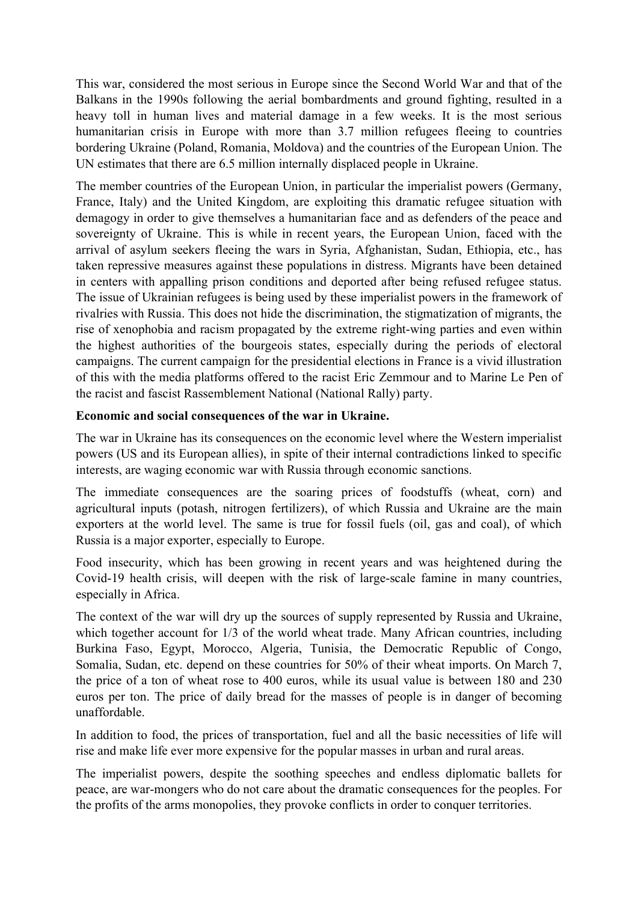This war, considered the most serious in Europe since the Second World War and that of the Balkans in the 1990s following the aerial bombardments and ground fighting, resulted in a heavy toll in human lives and material damage in a few weeks. It is the most serious humanitarian crisis in Europe with more than 3.7 million refugees fleeing to countries bordering Ukraine (Poland, Romania, Moldova) and the countries of the European Union. The UN estimates that there are 6.5 million internally displaced people in Ukraine.

The member countries of the European Union, in particular the imperialist powers (Germany, France, Italy) and the United Kingdom, are exploiting this dramatic refugee situation with demagogy in order to give themselves a humanitarian face and as defenders of the peace and sovereignty of Ukraine. This is while in recent years, the European Union, faced with the arrival of asylum seekers fleeing the wars in Syria, Afghanistan, Sudan, Ethiopia, etc., has taken repressive measures against these populations in distress. Migrants have been detained in centers with appalling prison conditions and deported after being refused refugee status. The issue of Ukrainian refugees is being used by these imperialist powers in the framework of rivalries with Russia. This does not hide the discrimination, the stigmatization of migrants, the rise of xenophobia and racism propagated by the extreme right-wing parties and even within the highest authorities of the bourgeois states, especially during the periods of electoral campaigns. The current campaign for the presidential elections in France is a vivid illustration of this with the media platforms offered to the racist Eric Zemmour and to Marine Le Pen of the racist and fascist Rassemblement National (National Rally) party.

## **Economic and social consequences of the war in Ukraine.**

The war in Ukraine has its consequences on the economic level where the Western imperialist powers (US and its European allies), in spite of their internal contradictions linked to specific interests, are waging economic war with Russia through economic sanctions.

The immediate consequences are the soaring prices of foodstuffs (wheat, corn) and agricultural inputs (potash, nitrogen fertilizers), of which Russia and Ukraine are the main exporters at the world level. The same is true for fossil fuels (oil, gas and coal), of which Russia is a major exporter, especially to Europe.

Food insecurity, which has been growing in recent years and was heightened during the Covid-19 health crisis, will deepen with the risk of large-scale famine in many countries, especially in Africa.

The context of the war will dry up the sources of supply represented by Russia and Ukraine, which together account for  $1/3$  of the world wheat trade. Many African countries, including Burkina Faso, Egypt, Morocco, Algeria, Tunisia, the Democratic Republic of Congo, Somalia, Sudan, etc. depend on these countries for 50% of their wheat imports. On March 7, the price of a ton of wheat rose to 400 euros, while its usual value is between 180 and 230 euros per ton. The price of daily bread for the masses of people is in danger of becoming unaffordable.

In addition to food, the prices of transportation, fuel and all the basic necessities of life will rise and make life ever more expensive for the popular masses in urban and rural areas.

The imperialist powers, despite the soothing speeches and endless diplomatic ballets for peace, are war-mongers who do not care about the dramatic consequences for the peoples. For the profits of the arms monopolies, they provoke conflicts in order to conquer territories.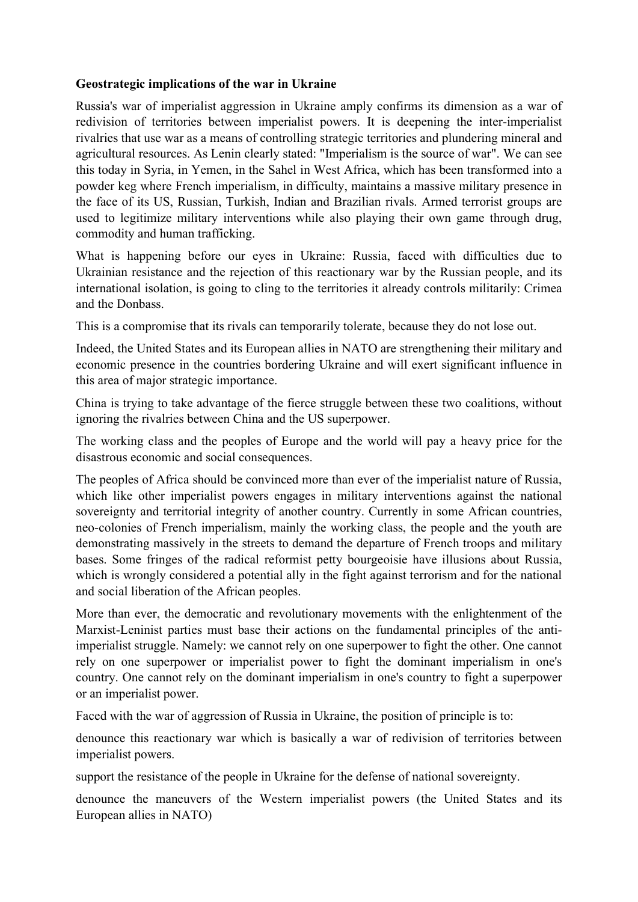## **Geostrategic implications of the war in Ukraine**

Russia's war of imperialist aggression in Ukraine amply confirms its dimension as a war of redivision of territories between imperialist powers. It is deepening the inter-imperialist rivalries that use war as a means of controlling strategic territories and plundering mineral and agricultural resources. As Lenin clearly stated: "Imperialism is the source of war". We can see this today in Syria, in Yemen, in the Sahel in West Africa, which has been transformed into a powder keg where French imperialism, in difficulty, maintains a massive military presence in the face of its US, Russian, Turkish, Indian and Brazilian rivals. Armed terrorist groups are used to legitimize military interventions while also playing their own game through drug, commodity and human trafficking.

What is happening before our eyes in Ukraine: Russia, faced with difficulties due to Ukrainian resistance and the rejection of this reactionary war by the Russian people, and its international isolation, is going to cling to the territories it already controls militarily: Crimea and the Donbass.

This is a compromise that its rivals can temporarily tolerate, because they do not lose out.

Indeed, the United States and its European allies in NATO are strengthening their military and economic presence in the countries bordering Ukraine and will exert significant influence in this area of major strategic importance.

China is trying to take advantage of the fierce struggle between these two coalitions, without ignoring the rivalries between China and the US superpower.

The working class and the peoples of Europe and the world will pay a heavy price for the disastrous economic and social consequences.

The peoples of Africa should be convinced more than ever of the imperialist nature of Russia, which like other imperialist powers engages in military interventions against the national sovereignty and territorial integrity of another country. Currently in some African countries, neo-colonies of French imperialism, mainly the working class, the people and the youth are demonstrating massively in the streets to demand the departure of French troops and military bases. Some fringes of the radical reformist petty bourgeoisie have illusions about Russia, which is wrongly considered a potential ally in the fight against terrorism and for the national and social liberation of the African peoples.

More than ever, the democratic and revolutionary movements with the enlightenment of the Marxist-Leninist parties must base their actions on the fundamental principles of the antiimperialist struggle. Namely: we cannot rely on one superpower to fight the other. One cannot rely on one superpower or imperialist power to fight the dominant imperialism in one's country. One cannot rely on the dominant imperialism in one's country to fight a superpower or an imperialist power.

Faced with the war of aggression of Russia in Ukraine, the position of principle is to:

denounce this reactionary war which is basically a war of redivision of territories between imperialist powers.

support the resistance of the people in Ukraine for the defense of national sovereignty.

denounce the maneuvers of the Western imperialist powers (the United States and its European allies in NATO)